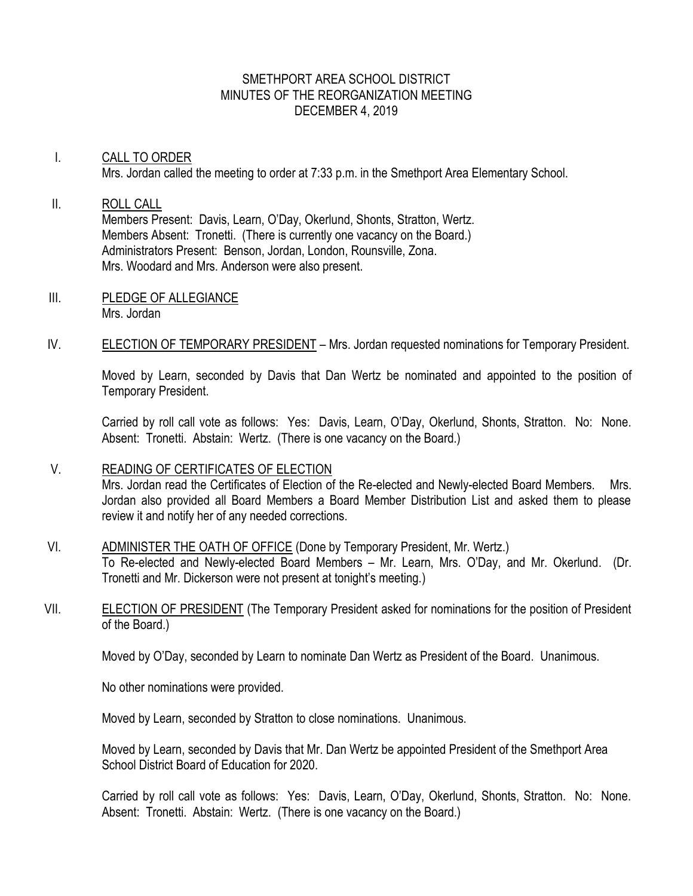## SMETHPORT AREA SCHOOL DISTRICT MINUTES OF THE REORGANIZATION MEETING DECEMBER 4, 2019

# I. CALL TO ORDER Mrs. Jordan called the meeting to order at 7:33 p.m. in the Smethport Area Elementary School.

## II. ROLL CALL Members Present: Davis, Learn, O'Day, Okerlund, Shonts, Stratton, Wertz. Members Absent: Tronetti. (There is currently one vacancy on the Board.) Administrators Present: Benson, Jordan, London, Rounsville, Zona. Mrs. Woodard and Mrs. Anderson were also present.

- III. PLEDGE OF ALLEGIANCE Mrs. Jordan
- IV. ELECTION OF TEMPORARY PRESIDENT Mrs. Jordan requested nominations for Temporary President.

Moved by Learn, seconded by Davis that Dan Wertz be nominated and appointed to the position of Temporary President.

Carried by roll call vote as follows: Yes: Davis, Learn, O'Day, Okerlund, Shonts, Stratton. No: None. Absent: Tronetti. Abstain: Wertz. (There is one vacancy on the Board.)

## V. READING OF CERTIFICATES OF ELECTION

Mrs. Jordan read the Certificates of Election of the Re-elected and Newly-elected Board Members. Mrs. Jordan also provided all Board Members a Board Member Distribution List and asked them to please review it and notify her of any needed corrections.

# VI. ADMINISTER THE OATH OF OFFICE (Done by Temporary President, Mr. Wertz.)

To Re-elected and Newly-elected Board Members – Mr. Learn, Mrs. O'Day, and Mr. Okerlund. (Dr. Tronetti and Mr. Dickerson were not present at tonight's meeting.)

VII. ELECTION OF PRESIDENT (The Temporary President asked for nominations for the position of President of the Board.)

Moved by O'Day, seconded by Learn to nominate Dan Wertz as President of the Board. Unanimous.

No other nominations were provided.

Moved by Learn, seconded by Stratton to close nominations. Unanimous.

Moved by Learn, seconded by Davis that Mr. Dan Wertz be appointed President of the Smethport Area School District Board of Education for 2020.

Carried by roll call vote as follows: Yes: Davis, Learn, O'Day, Okerlund, Shonts, Stratton. No: None. Absent: Tronetti. Abstain: Wertz. (There is one vacancy on the Board.)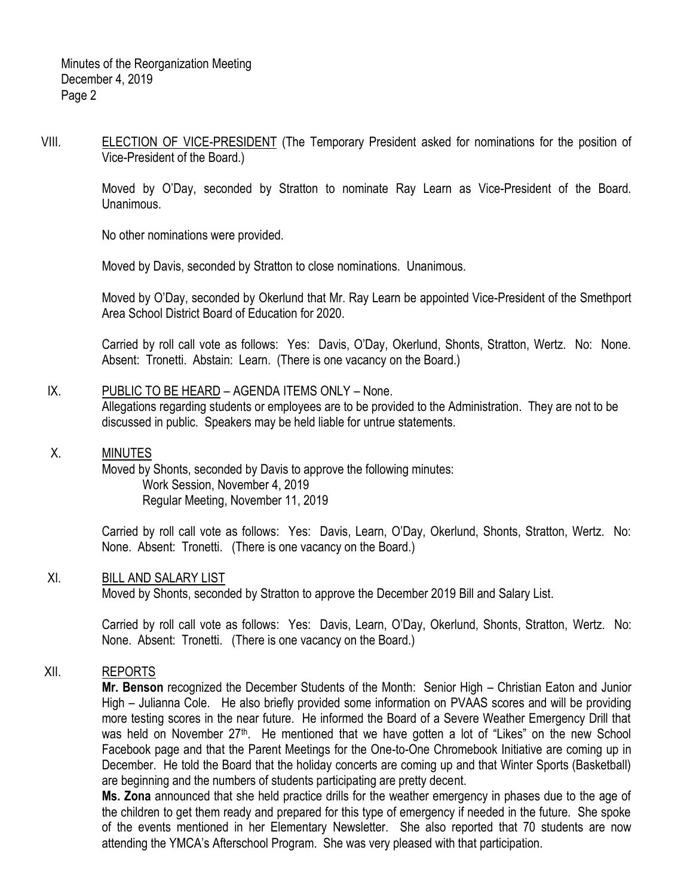VIII. ELECTION OF VICE-PRESIDENT (The Temporary President asked for nominations for the position of Vice-President of the Board.)

> Moved by O'Day, seconded by Stratton to nominate Ray Learn as Vice-President of the Board. Unanimous.

No other nominations were provided.

Moved by Davis, seconded by Stratton to close nominations. Unanimous.

Moved by O'Day, seconded by Okerlund that Mr. Ray Learn be appointed Vice-President of the Smethport Area School District Board of Education for 2020.

Carried by roll call vote as follows: Yes: Davis, O'Day, Okerlund, Shonts, Stratton, Wertz. No: None. Absent: Tronetti. Abstain: Learn. (There is one vacancy on the Board.)

# IX. PUBLIC TO BE HEARD – AGENDA ITEMS ONLY – None.

Allegations regarding students or employees are to be provided to the Administration. They are not to be discussed in public. Speakers may be held liable for untrue statements.

## X. MINUTES

Moved by Shonts, seconded by Davis to approve the following minutes: Work Session, November 4, 2019 Regular Meeting, November 11, 2019

Carried by roll call vote as follows: Yes: Davis, Learn, O'Day, Okerlund, Shonts, Stratton, Wertz. No: None. Absent: Tronetti. (There is one vacancy on the Board.)

# XI. BILL AND SALARY LIST

Moved by Shonts, seconded by Stratton to approve the December 2019 Bill and Salary List.

Carried by roll call vote as follows: Yes: Davis, Learn, O'Day, Okerlund, Shonts, Stratton, Wertz. No: None. Absent: Tronetti. (There is one vacancy on the Board.)

# XII. REPORTS

**Mr. Benson** recognized the December Students of the Month: Senior High – Christian Eaton and Junior High – Julianna Cole. He also briefly provided some information on PVAAS scores and will be providing more testing scores in the near future. He informed the Board of a Severe Weather Emergency Drill that was held on November 27<sup>th</sup>. He mentioned that we have gotten a lot of "Likes" on the new School Facebook page and that the Parent Meetings for the One-to-One Chromebook Initiative are coming up in December. He told the Board that the holiday concerts are coming up and that Winter Sports (Basketball) are beginning and the numbers of students participating are pretty decent.

**Ms. Zona** announced that she held practice drills for the weather emergency in phases due to the age of the children to get them ready and prepared for this type of emergency if needed in the future. She spoke of the events mentioned in her Elementary Newsletter. She also reported that 70 students are now attending the YMCA's Afterschool Program. She was very pleased with that participation.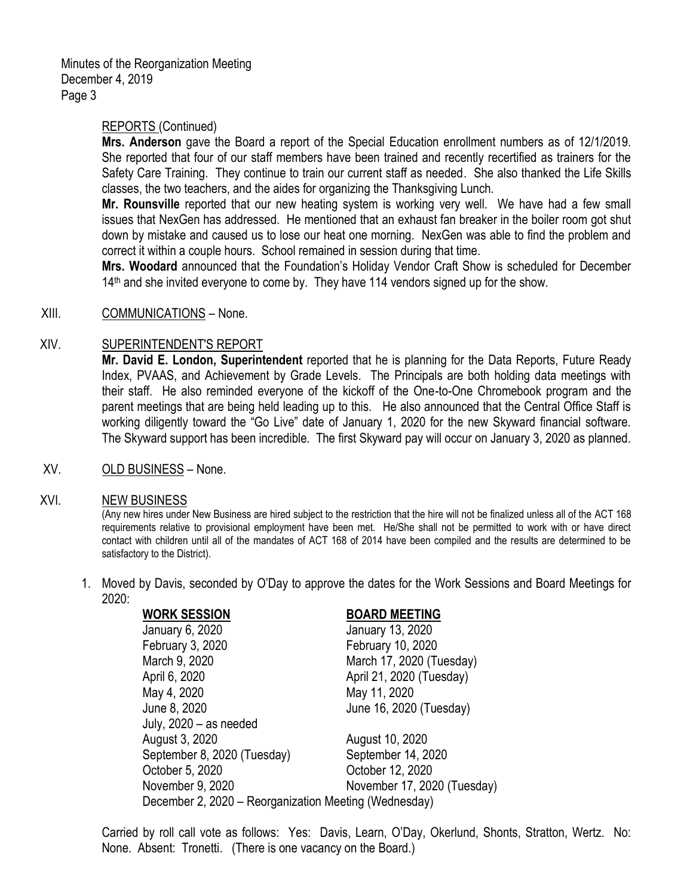Minutes of the Reorganization Meeting December 4, 2019 Page 3

## REPORTS (Continued)

**Mrs. Anderson** gave the Board a report of the Special Education enrollment numbers as of 12/1/2019. She reported that four of our staff members have been trained and recently recertified as trainers for the Safety Care Training. They continue to train our current staff as needed. She also thanked the Life Skills classes, the two teachers, and the aides for organizing the Thanksgiving Lunch.

**Mr. Rounsville** reported that our new heating system is working very well. We have had a few small issues that NexGen has addressed. He mentioned that an exhaust fan breaker in the boiler room got shut down by mistake and caused us to lose our heat one morning. NexGen was able to find the problem and correct it within a couple hours. School remained in session during that time.

**Mrs. Woodard** announced that the Foundation's Holiday Vendor Craft Show is scheduled for December 14<sup>th</sup> and she invited everyone to come by. They have 114 vendors signed up for the show.

#### XIII. COMMUNICATIONS – None.

## XIV. SUPERINTENDENT'S REPORT

**Mr. David E. London, Superintendent** reported that he is planning for the Data Reports, Future Ready Index, PVAAS, and Achievement by Grade Levels. The Principals are both holding data meetings with their staff. He also reminded everyone of the kickoff of the One-to-One Chromebook program and the parent meetings that are being held leading up to this. He also announced that the Central Office Staff is working diligently toward the "Go Live" date of January 1, 2020 for the new Skyward financial software. The Skyward support has been incredible. The first Skyward pay will occur on January 3, 2020 as planned.

XV. OLD BUSINESS – None.

#### XVI. NEW BUSINESS

(Any new hires under New Business are hired subject to the restriction that the hire will not be finalized unless all of the ACT 168 requirements relative to provisional employment have been met. He/She shall not be permitted to work with or have direct contact with children until all of the mandates of ACT 168 of 2014 have been compiled and the results are determined to be satisfactory to the District).

1. Moved by Davis, seconded by O'Day to approve the dates for the Work Sessions and Board Meetings for 2020:

| <b>WORK SESSION</b>                                   | <b>BOARD MEETING</b>        |
|-------------------------------------------------------|-----------------------------|
| January 6, 2020                                       | January 13, 2020            |
| February 3, 2020                                      | February 10, 2020           |
| March 9, 2020                                         | March 17, 2020 (Tuesday)    |
| April 6, 2020                                         | April 21, 2020 (Tuesday)    |
| May 4, 2020                                           | May 11, 2020                |
| June 8, 2020                                          | June 16, 2020 (Tuesday)     |
| July, $2020 - as needed$                              |                             |
| August 3, 2020                                        | August 10, 2020             |
| September 8, 2020 (Tuesday)                           | September 14, 2020          |
| October 5, 2020                                       | October 12, 2020            |
| November 9, 2020                                      | November 17, 2020 (Tuesday) |
| December 2, 2020 – Reorganization Meeting (Wednesday) |                             |
|                                                       |                             |

Carried by roll call vote as follows: Yes: Davis, Learn, O'Day, Okerlund, Shonts, Stratton, Wertz. No: None. Absent: Tronetti. (There is one vacancy on the Board.)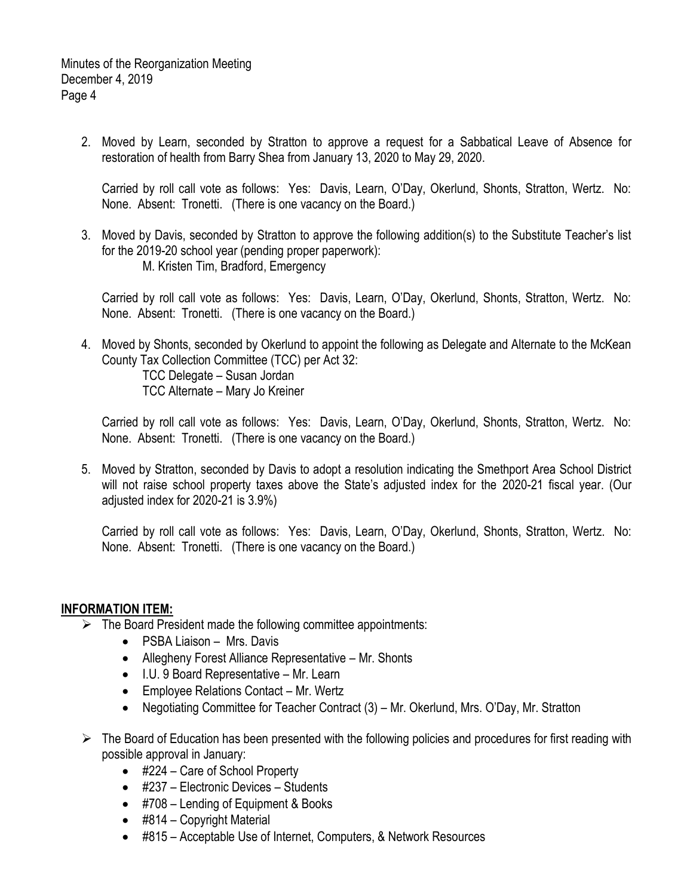2. Moved by Learn, seconded by Stratton to approve a request for a Sabbatical Leave of Absence for restoration of health from Barry Shea from January 13, 2020 to May 29, 2020.

Carried by roll call vote as follows: Yes: Davis, Learn, O'Day, Okerlund, Shonts, Stratton, Wertz. No: None. Absent: Tronetti. (There is one vacancy on the Board.)

3. Moved by Davis, seconded by Stratton to approve the following addition(s) to the Substitute Teacher's list for the 2019-20 school year (pending proper paperwork): M. Kristen Tim, Bradford, Emergency

Carried by roll call vote as follows: Yes: Davis, Learn, O'Day, Okerlund, Shonts, Stratton, Wertz. No: None. Absent: Tronetti. (There is one vacancy on the Board.)

4. Moved by Shonts, seconded by Okerlund to appoint the following as Delegate and Alternate to the McKean County Tax Collection Committee (TCC) per Act 32:

TCC Delegate – Susan Jordan TCC Alternate – Mary Jo Kreiner

Carried by roll call vote as follows: Yes: Davis, Learn, O'Day, Okerlund, Shonts, Stratton, Wertz. No: None. Absent: Tronetti. (There is one vacancy on the Board.)

5. Moved by Stratton, seconded by Davis to adopt a resolution indicating the Smethport Area School District will not raise school property taxes above the State's adjusted index for the 2020-21 fiscal year. (Our adjusted index for 2020-21 is 3.9%)

Carried by roll call vote as follows: Yes: Davis, Learn, O'Day, Okerlund, Shonts, Stratton, Wertz. No: None. Absent: Tronetti. (There is one vacancy on the Board.)

## **INFORMATION ITEM:**

- $\triangleright$  The Board President made the following committee appointments:
	- PSBA Liaison Mrs. Davis
	- Allegheny Forest Alliance Representative Mr. Shonts
	- I.U. 9 Board Representative Mr. Learn
	- Employee Relations Contact Mr. Wertz
	- Negotiating Committee for Teacher Contract (3) Mr. Okerlund, Mrs. O'Day, Mr. Stratton
- $\triangleright$  The Board of Education has been presented with the following policies and procedures for first reading with possible approval in January:
	- #224 Care of School Property
	- #237 Electronic Devices Students
	- #708 Lending of Equipment & Books
	- #814 Copyright Material
	- #815 Acceptable Use of Internet, Computers, & Network Resources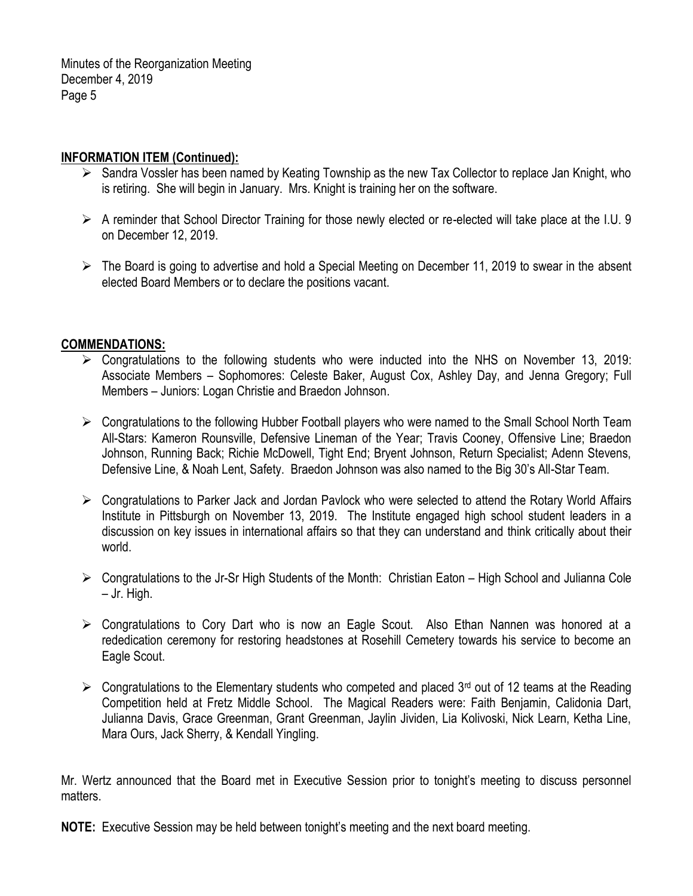Minutes of the Reorganization Meeting December 4, 2019 Page 5

# **INFORMATION ITEM (Continued):**

- $\triangleright$  Sandra Vossler has been named by Keating Township as the new Tax Collector to replace Jan Knight, who is retiring. She will begin in January. Mrs. Knight is training her on the software.
- $\triangleright$  A reminder that School Director Training for those newly elected or re-elected will take place at the I.U. 9 on December 12, 2019.
- $\triangleright$  The Board is going to advertise and hold a Special Meeting on December 11, 2019 to swear in the absent elected Board Members or to declare the positions vacant.

## **COMMENDATIONS:**

- $\triangleright$  Congratulations to the following students who were inducted into the NHS on November 13, 2019: Associate Members – Sophomores: Celeste Baker, August Cox, Ashley Day, and Jenna Gregory; Full Members – Juniors: Logan Christie and Braedon Johnson.
- $\triangleright$  Congratulations to the following Hubber Football players who were named to the Small School North Team All-Stars: Kameron Rounsville, Defensive Lineman of the Year; Travis Cooney, Offensive Line; Braedon Johnson, Running Back; Richie McDowell, Tight End; Bryent Johnson, Return Specialist; Adenn Stevens, Defensive Line, & Noah Lent, Safety. Braedon Johnson was also named to the Big 30's All-Star Team.
- Congratulations to Parker Jack and Jordan Pavlock who were selected to attend the Rotary World Affairs Institute in Pittsburgh on November 13, 2019. The Institute engaged high school student leaders in a discussion on key issues in international affairs so that they can understand and think critically about their world.
- Congratulations to the Jr-Sr High Students of the Month: Christian Eaton High School and Julianna Cole – Jr. High.
- $\triangleright$  Congratulations to Cory Dart who is now an Eagle Scout. Also Ethan Nannen was honored at a rededication ceremony for restoring headstones at Rosehill Cemetery towards his service to become an Eagle Scout.
- $\triangleright$  Congratulations to the Elementary students who competed and placed 3<sup>rd</sup> out of 12 teams at the Reading Competition held at Fretz Middle School. The Magical Readers were: Faith Benjamin, Calidonia Dart, Julianna Davis, Grace Greenman, Grant Greenman, Jaylin Jividen, Lia Kolivoski, Nick Learn, Ketha Line, Mara Ours, Jack Sherry, & Kendall Yingling.

Mr. Wertz announced that the Board met in Executive Session prior to tonight's meeting to discuss personnel matters.

**NOTE:** Executive Session may be held between tonight's meeting and the next board meeting.